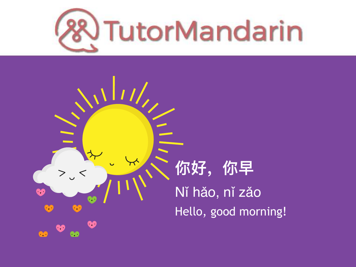

 $|I|$ 你好, 你早 Ni hảo, ni zảo  $\bullet$  $\bullet$ **O OD** Hello, good morning! t  $\bullet$  $\bullet$  $\bullet$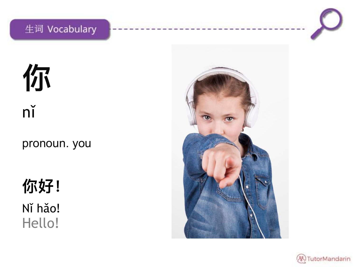



# 你  $n\check{I}$

#### pronoun. you

## 你好!

Nǐ hǎo! Hello!



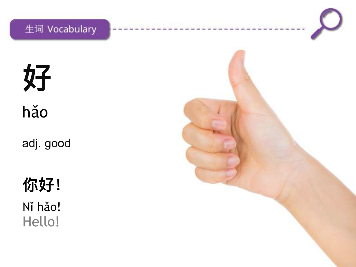

好 hǎo

adj. good

你好! Nǐ hǎo! Hello!

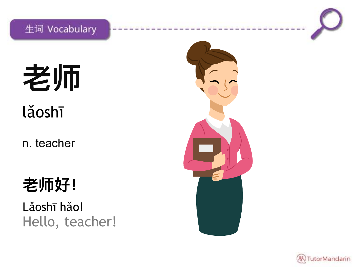

老师 lǎoshī

n. teacher

## 老师好!

Lăoshī hăo! Hello, teacher!



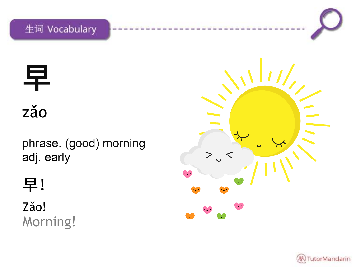

早 zăo

phrase. (good) morning adj. early

## 早!

Zăo! Morning!



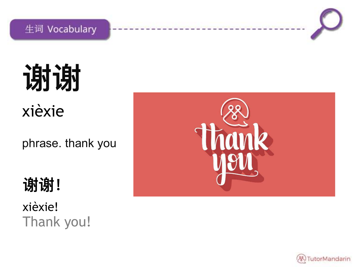

# **谢谢** xièxie

phrase. thank you

## **谢谢!**

### xièxie! Thank you!



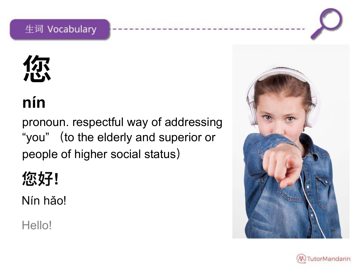

# 您

# nín

pronoun. respectful way of addressing "you" (to the elderly and superior or people of higher social status)

## 您好!

Nín hảo!

Hello!



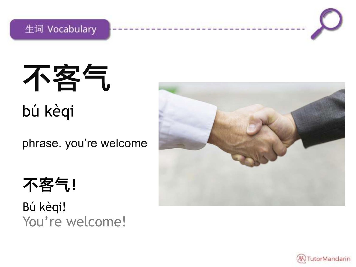

# 不客气 bú kèqi

phrase. you're welcome



Bú kèqi! You're welcome!



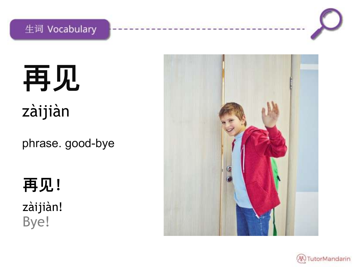

再见 zàijiàn

phrase.good-bye

再见! zàijiàn! Bye!



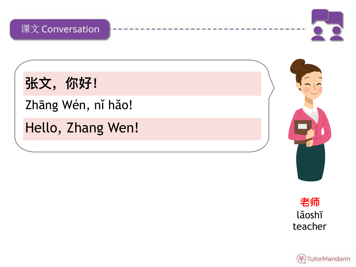

张文,你好!

### Zhāng Wén, nǐ hǎo!

## Hello, Zhang Wen!



老师 lǎoshī teacher

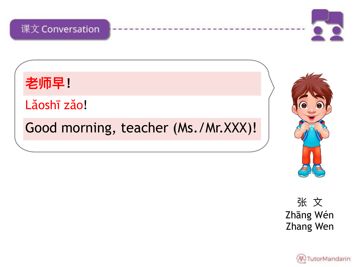

老师早!

Lăoshī zăo!

### Good morning, teacher (Ms./Mr.XXX)!



张文 Zhāng Wén **Zhang Wen** 

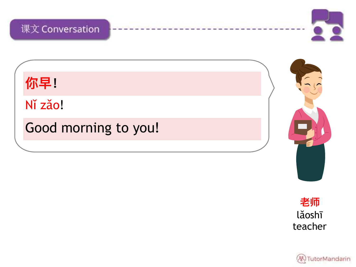

你早!

Nǐ zǎo!

Good morning to you!





TutorMandarin  $88$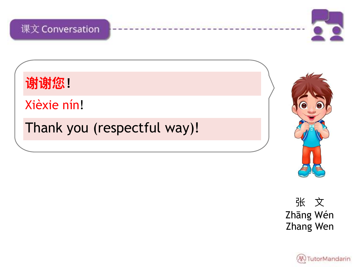

谢谢您!

Xièxie nín!

Thank you (respectful way)!



张 文 Zhāng Wén **Zhang Wen** 

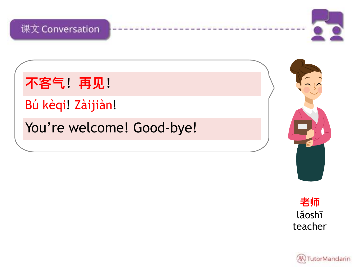

不客气! 再见!

## Bú kèqi! Zàijiàn!

### You're welcome! Good-bye!





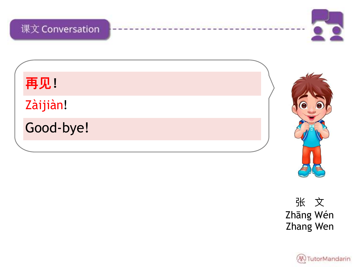

再见! Zàijiàn! Good-bye!



张 文 Zhāng Wén **Zhang Wen** 

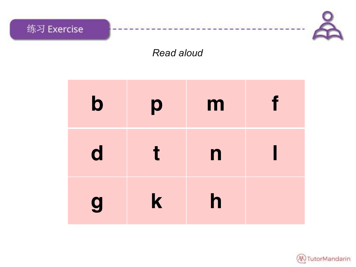

#### *Read aloud*

| $\mathbf b$             | p           | m            | f |
|-------------------------|-------------|--------------|---|
| $\overline{\mathbf{d}}$ | $\mathbf t$ | $\mathsf{n}$ |   |
| $\overline{g}$          | $\mathbf k$ | h            |   |

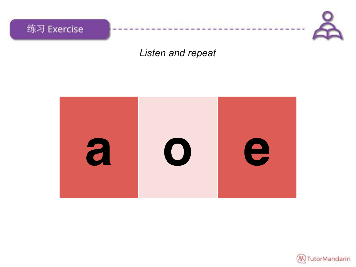



#### Listen and repeat



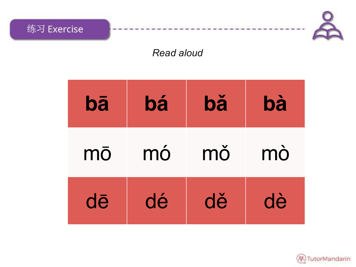

#### **Read aloud**

| bā | bá | bă | bà |
|----|----|----|----|
| mō | mó | mŏ | mò |
| dē | dé | dě | dè |

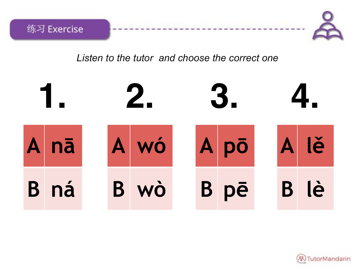



#### Listen to the tutor and choose the correct one



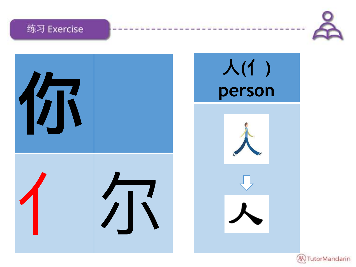#### 练习 Exercise





# 人(1) person







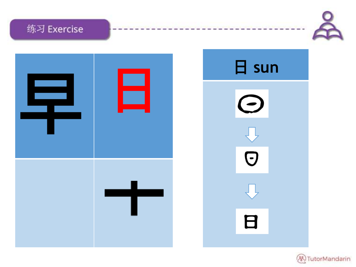练习 Exercise







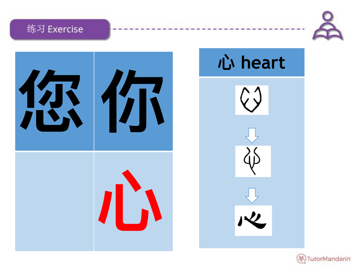#### 练习 Exercise





# 心 heart





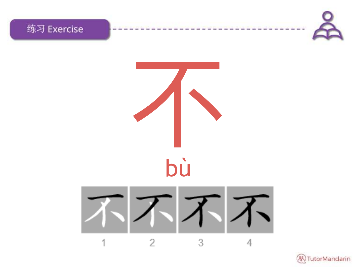





**&**TutorMandarin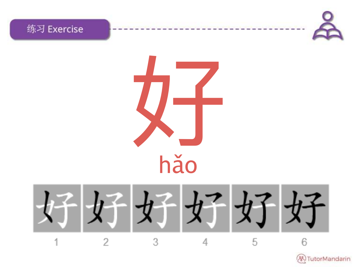







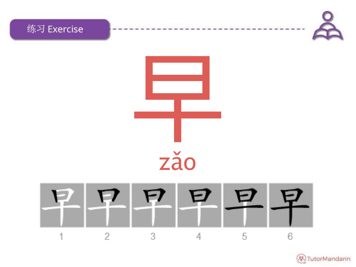